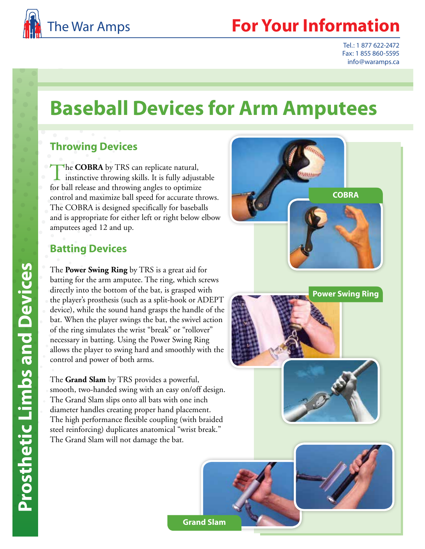

Tel.: 1 877 622-2472 Fax: 1 855 860-5595 info@waramps.ca

# **Baseball Devices for Arm Amputees**

#### **Throwing Devices**

The **COBRA** by TRS can replicate natural, instinctive throwing skills. It is fully adjustable for ball release and throwing angles to optimize control and maximize ball speed for accurate throws. The COBRA is designed specifically for baseballs and is appropriate for either left or right below elbow amputees aged 12 and up.

#### **Batting Devices**

The **Power Swing Ring** by TRS is a great aid for batting for the arm amputee. The ring, which screws directly into the bottom of the bat, is grasped with the player's prosthesis (such as a split-hook or ADEPT device), while the sound hand grasps the handle of the bat. When the player swings the bat, the swivel action of the ring simulates the wrist "break" or "rollover" necessary in batting. Using the Power Swing Ring allows the player to swing hard and smoothly with the control and power of both arms.

The **Grand Slam** by TRS provides a powerful, smooth, two-handed swing with an easy on/off design. The Grand Slam slips onto all bats with one inch diameter handles creating proper hand placement. The high performance flexible coupling (with braided steel reinforcing) duplicates anatomical "wrist break." The Grand Slam will not damage the bat.



**Power Swing Ring**

**COBRA**



**Grand Slam**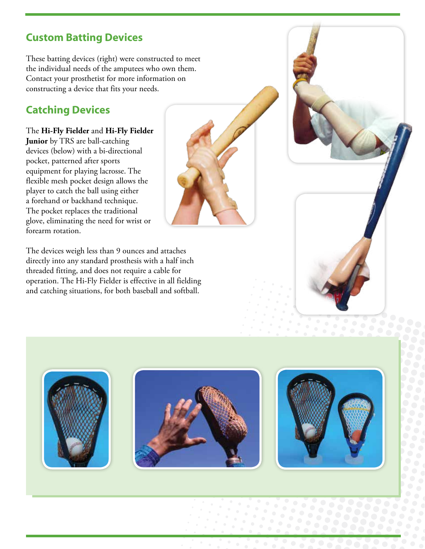### **Custom Batting Devices**

These batting devices (right) were constructed to meet the individual needs of the amputees who own them. Contact your prosthetist for more information on constructing a device that fits your needs.

## **Catching Devices**

The **Hi-Fly Fielder** and **Hi-Fly Fielder Junior** by TRS are ball-catching devices (below) with a bi-directional pocket, patterned after sports equipment for playing lacrosse. The flexible mesh pocket design allows the player to catch the ball using either a forehand or backhand technique. The pocket replaces the traditional glove, eliminating the need for wrist or forearm rotation.

The devices weigh less than 9 ounces and attaches directly into any standard prosthesis with a half inch threaded fitting, and does not require a cable for operation. The Hi-Fly Fielder is effective in all fielding and catching situations, for both baseball and softball.